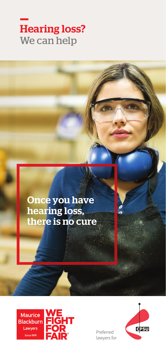# Hearing loss? We can help

## Once you have hearing loss, there is no cure



Preferred lawyers for

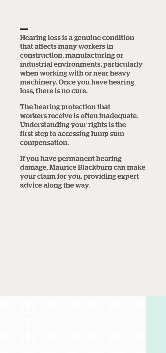Hearing loss is a genuine condition that affects many workers in construction, manufacturing or industrial environments, particularly when working with or near heavy machinery. Once you have hearing loss, there is no cure.

The hearing protection that workers receive is often inadequate. Understanding your rights is the first step to accessing lump sum compensation.

If you have permanent hearing damage, Maurice Blackburn can make your claim for you, providing expert advice along the way.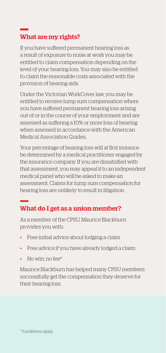## What are my rights?

If you have suffered permanent hearing loss as a result of exposure to noise at work you may be entitled to claim compensation depending on the level of your hearing loss. You may also be entitled to claim the reasonable costs associated with the provision of hearing aids.

Under the Victorian WorkCover law, you may be entitled to receive lump sum compensation where you have suffered permanent hearing loss arising out of or in the course of your employment and are assessed as suffering a 10% or more loss of hearing when assessed in accordance with the American Medical Association Guides.

Your percentage of hearing loss will at first instance be determined by a medical practitioner engaged by the insurance company. If you are dissatisfied with that assessment, you may appeal it to an independent medical panel who will be asked to make an assessment. Claims for lump sum compensation for hearing loss are unlikely to result in litigation.

### What do I get as a union member?

As a member of the CPSU, Maurice Blackburn provides you with:

- Free initial advice about lodging a claim
- Free advice if you have already lodged a claim
- No win, no fee\*

Maurice Blackburn has helped many CPSU members successfully get the compensation they deserve for their hearing loss.